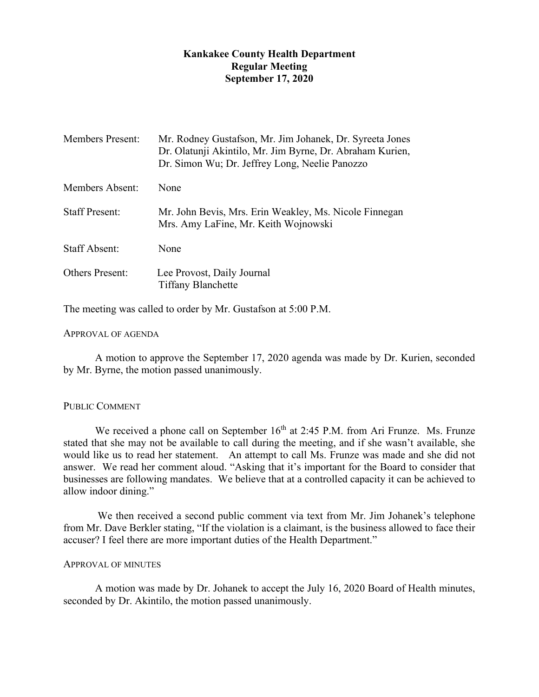# **Kankakee County Health Department Regular Meeting September 17, 2020**

| <b>Members Present:</b> | Mr. Rodney Gustafson, Mr. Jim Johanek, Dr. Syreeta Jones<br>Dr. Olatunji Akintilo, Mr. Jim Byrne, Dr. Abraham Kurien,<br>Dr. Simon Wu; Dr. Jeffrey Long, Neelie Panozzo |
|-------------------------|-------------------------------------------------------------------------------------------------------------------------------------------------------------------------|
| Members Absent:         | None                                                                                                                                                                    |
| <b>Staff Present:</b>   | Mr. John Bevis, Mrs. Erin Weakley, Ms. Nicole Finnegan<br>Mrs. Amy LaFine, Mr. Keith Wojnowski                                                                          |
| <b>Staff Absent:</b>    | None                                                                                                                                                                    |
| <b>Others Present:</b>  | Lee Provost, Daily Journal<br><b>Tiffany Blanchette</b>                                                                                                                 |

The meeting was called to order by Mr. Gustafson at 5:00 P.M.

## APPROVAL OF AGENDA

A motion to approve the September 17, 2020 agenda was made by Dr. Kurien, seconded by Mr. Byrne, the motion passed unanimously.

## PUBLIC COMMENT

We received a phone call on September 16<sup>th</sup> at 2:45 P.M. from Ari Frunze. Ms. Frunze stated that she may not be available to call during the meeting, and if she wasn't available, she would like us to read her statement. An attempt to call Ms. Frunze was made and she did not answer. We read her comment aloud. "Asking that it's important for the Board to consider that businesses are following mandates. We believe that at a controlled capacity it can be achieved to allow indoor dining."

We then received a second public comment via text from Mr. Jim Johanek's telephone from Mr. Dave Berkler stating, "If the violation is a claimant, is the business allowed to face their accuser? I feel there are more important duties of the Health Department."

## APPROVAL OF MINUTES

A motion was made by Dr. Johanek to accept the July 16, 2020 Board of Health minutes, seconded by Dr. Akintilo, the motion passed unanimously.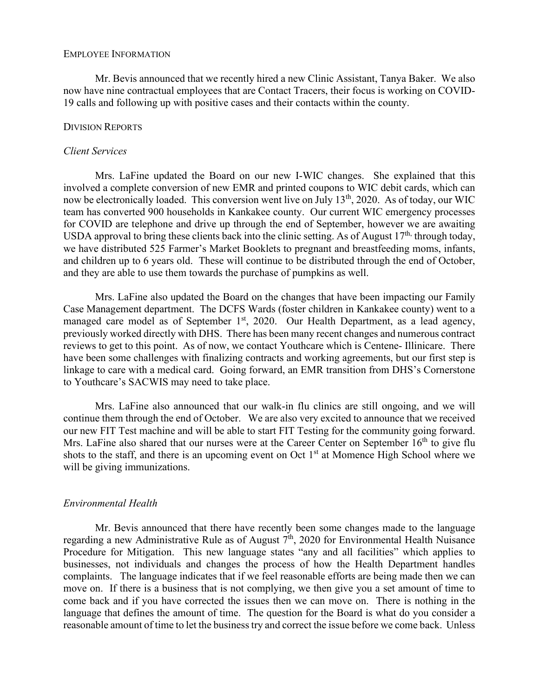#### EMPLOYEE INFORMATION

Mr. Bevis announced that we recently hired a new Clinic Assistant, Tanya Baker. We also now have nine contractual employees that are Contact Tracers, their focus is working on COVID-19 calls and following up with positive cases and their contacts within the county.

#### DIVISION REPORTS

#### *Client Services*

Mrs. LaFine updated the Board on our new I-WIC changes. She explained that this involved a complete conversion of new EMR and printed coupons to WIC debit cards, which can now be electronically loaded. This conversion went live on July 13<sup>th</sup>, 2020. As of today, our WIC team has converted 900 households in Kankakee county. Our current WIC emergency processes for COVID are telephone and drive up through the end of September, however we are awaiting USDA approval to bring these clients back into the clinic setting. As of August  $17<sup>th</sup>$ , through today, we have distributed 525 Farmer's Market Booklets to pregnant and breastfeeding moms, infants, and children up to 6 years old. These will continue to be distributed through the end of October, and they are able to use them towards the purchase of pumpkins as well.

Mrs. LaFine also updated the Board on the changes that have been impacting our Family Case Management department. The DCFS Wards (foster children in Kankakee county) went to a managed care model as of September  $1<sup>st</sup>$ , 2020. Our Health Department, as a lead agency, previously worked directly with DHS. There has been many recent changes and numerous contract reviews to get to this point. As of now, we contact Youthcare which is Centene- Illinicare. There have been some challenges with finalizing contracts and working agreements, but our first step is linkage to care with a medical card. Going forward, an EMR transition from DHS's Cornerstone to Youthcare's SACWIS may need to take place.

Mrs. LaFine also announced that our walk-in flu clinics are still ongoing, and we will continue them through the end of October. We are also very excited to announce that we received our new FIT Test machine and will be able to start FIT Testing for the community going forward. Mrs. LaFine also shared that our nurses were at the Career Center on September  $16<sup>th</sup>$  to give flu shots to the staff, and there is an upcoming event on Oct  $1<sup>st</sup>$  at Momence High School where we will be giving immunizations.

## *Environmental Health*

Mr. Bevis announced that there have recently been some changes made to the language regarding a new Administrative Rule as of August  $7<sup>th</sup>$ , 2020 for Environmental Health Nuisance Procedure for Mitigation. This new language states "any and all facilities" which applies to businesses, not individuals and changes the process of how the Health Department handles complaints. The language indicates that if we feel reasonable efforts are being made then we can move on. If there is a business that is not complying, we then give you a set amount of time to come back and if you have corrected the issues then we can move on. There is nothing in the language that defines the amount of time. The question for the Board is what do you consider a reasonable amount of time to let the business try and correct the issue before we come back. Unless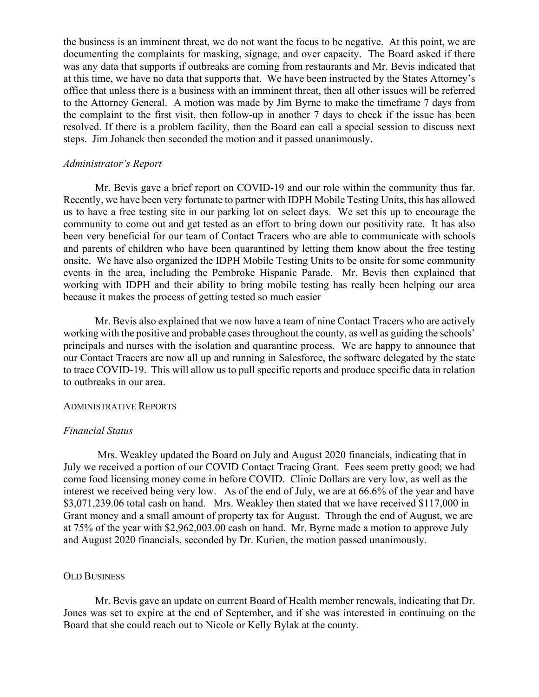the business is an imminent threat, we do not want the focus to be negative. At this point, we are documenting the complaints for masking, signage, and over capacity. The Board asked if there was any data that supports if outbreaks are coming from restaurants and Mr. Bevis indicated that at this time, we have no data that supports that. We have been instructed by the States Attorney's office that unless there is a business with an imminent threat, then all other issues will be referred to the Attorney General. A motion was made by Jim Byrne to make the timeframe 7 days from the complaint to the first visit, then follow-up in another 7 days to check if the issue has been resolved. If there is a problem facility, then the Board can call a special session to discuss next steps. Jim Johanek then seconded the motion and it passed unanimously.

#### *Administrator's Report*

Mr. Bevis gave a brief report on COVID-19 and our role within the community thus far. Recently, we have been very fortunate to partner with IDPH Mobile Testing Units, this has allowed us to have a free testing site in our parking lot on select days. We set this up to encourage the community to come out and get tested as an effort to bring down our positivity rate. It has also been very beneficial for our team of Contact Tracers who are able to communicate with schools and parents of children who have been quarantined by letting them know about the free testing onsite. We have also organized the IDPH Mobile Testing Units to be onsite for some community events in the area, including the Pembroke Hispanic Parade. Mr. Bevis then explained that working with IDPH and their ability to bring mobile testing has really been helping our area because it makes the process of getting tested so much easier

Mr. Bevis also explained that we now have a team of nine Contact Tracers who are actively working with the positive and probable cases throughout the county, as well as guiding the schools' principals and nurses with the isolation and quarantine process. We are happy to announce that our Contact Tracers are now all up and running in Salesforce, the software delegated by the state to trace COVID-19. This will allow us to pull specific reports and produce specific data in relation to outbreaks in our area.

## ADMINISTRATIVE REPORTS

#### *Financial Status*

Mrs. Weakley updated the Board on July and August 2020 financials, indicating that in July we received a portion of our COVID Contact Tracing Grant. Fees seem pretty good; we had come food licensing money come in before COVID. Clinic Dollars are very low, as well as the interest we received being very low. As of the end of July, we are at 66.6% of the year and have \$3,071,239.06 total cash on hand. Mrs. Weakley then stated that we have received \$117,000 in Grant money and a small amount of property tax for August. Through the end of August, we are at 75% of the year with \$2,962,003.00 cash on hand. Mr. Byrne made a motion to approve July and August 2020 financials, seconded by Dr. Kurien, the motion passed unanimously.

#### OLD BUSINESS

Mr. Bevis gave an update on current Board of Health member renewals, indicating that Dr. Jones was set to expire at the end of September, and if she was interested in continuing on the Board that she could reach out to Nicole or Kelly Bylak at the county.